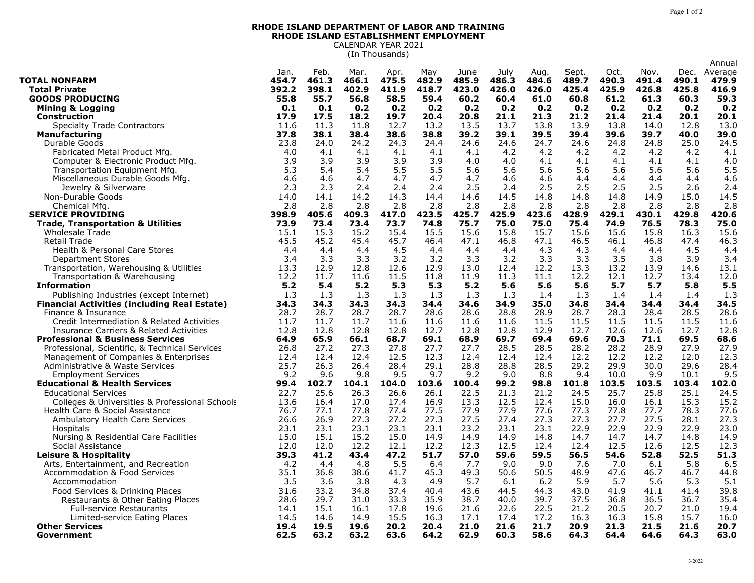## **RHODE ISLAND DEPARTMENT OF LABOR AND TRAINING RHODE ISLAND ESTABLISHMENT EMPLOYMENT** CALENDAR YEAR 2021

(In Thousands)

|                                                     |       |       |       |       |       |       |       |       |       |       |       |       | Annual  |
|-----------------------------------------------------|-------|-------|-------|-------|-------|-------|-------|-------|-------|-------|-------|-------|---------|
|                                                     | Jan.  | Feb.  | Mar.  | Apr.  | May   | June  | July  | Aug.  | Sept. | Oct.  | Nov.  | Dec.  | Average |
| <b>TOTAL NONFARM</b>                                | 454.7 | 461.3 | 466.1 | 475.5 | 482.9 | 485.9 | 486.3 | 484.6 | 489.7 | 490.3 | 491.4 | 490.1 | 479.9   |
| <b>Total Private</b>                                | 392.2 | 398.1 | 402.9 | 411.9 | 418.7 | 423.0 | 426.0 | 426.0 | 425.4 | 425.9 | 426.8 | 425.8 | 416.9   |
| <b>GOODS PRODUCING</b>                              | 55.8  | 55.7  | 56.8  | 58.5  | 59.4  | 60.2  | 60.4  | 61.0  | 60.8  | 61.2  | 61.3  | 60.3  | 59.3    |
| <b>Mining &amp; Logging</b>                         | 0.1   | 0.1   | 0.2   | 0.2   | 0.2   | 0.2   | 0.2   | 0.2   | 0.2   | 0.2   | 0.2   | 0.2   | 0.2     |
| <b>Construction</b>                                 | 17.9  | 17.5  | 18.2  | 19.7  | 20.4  | 20.8  | 21.1  | 21.3  | 21.2  | 21.4  | 21.4  | 20.1  | 20.1    |
| <b>Specialty Trade Contractors</b>                  | 11.6  | 11.3  | 11.8  | 12.7  | 13.2  | 13.5  | 13.7  | 13.8  | 13.9  | 13.8  | 14.0  | 12.8  | 13.0    |
| <b>Manufacturing</b>                                | 37.8  | 38.1  | 38.4  | 38.6  | 38.8  | 39.2  | 39.1  | 39.5  | 39.4  | 39.6  | 39.7  | 40.0  | 39.0    |
| Durable Goods                                       | 23.8  | 24.0  | 24.2  | 24.3  | 24.4  | 24.6  | 24.6  | 24.7  | 24.6  | 24.8  | 24.8  | 25.0  | 24.5    |
| Fabricated Metal Product Mfg.                       | 4.0   | 4.1   | 4.1   | 4.1   | 4.1   | 4.1   | 4.2   | 4.2   | 4.2   | 4.2   | 4.2   | 4.2   | 4.1     |
| Computer & Electronic Product Mfg.                  | 3.9   | 3.9   | 3.9   | 3.9   | 3.9   | 4.0   | 4.0   | 4.1   | 4.1   | 4.1   | 4.1   | 4.1   | 4.0     |
| Transportation Equipment Mfg.                       | 5.3   | 5.4   | 5.4   | 5.5   | 5.5   | 5.6   | 5.6   | 5.6   | 5.6   | 5.6   | 5.6   | 5.6   | 5.5     |
| Miscellaneous Durable Goods Mfg.                    | 4.6   | 4.6   | 4.7   | 4.7   | 4.7   | 4.7   | 4.6   | 4.6   | 4.4   | 4.4   | 4.4   | 4.4   | 4.6     |
| Jewelry & Silverware                                | 2.3   | 2.3   | 2.4   | 2.4   | 2.4   | 2.5   | 2.4   | 2.5   | 2.5   | 2.5   | 2.5   | 2.6   | 2.4     |
| Non-Durable Goods                                   | 14.0  | 14.1  | 14.2  | 14.3  | 14.4  | 14.6  | 14.5  | 14.8  | 14.8  | 14.8  | 14.9  | 15.0  | 14.5    |
| Chemical Mfg.                                       | 2.8   | 2.8   | 2.8   | 2.8   | 2.8   | 2.8   | 2.8   | 2.8   | 2.8   | 2.8   | 2.8   | 2.8   | 2.8     |
| <b>SERVICE PROVIDING</b>                            | 398.9 | 405.6 | 409.3 | 417.0 | 423.5 | 425.7 | 425.9 | 423.6 | 428.9 | 429.1 | 430.1 | 429.8 | 420.6   |
| <b>Trade, Transportation &amp; Utilities</b>        | 73.9  | 73.4  | 73.4  | 73.7  | 74.8  | 75.7  | 75.0  | 75.0  | 75.4  | 74.9  | 76.5  | 78.3  | 75.0    |
| Wholesale Trade                                     | 15.1  | 15.3  | 15.2  | 15.4  | 15.5  | 15.6  | 15.8  | 15.7  | 15.6  | 15.6  | 15.8  | 16.3  | 15.6    |
| <b>Retail Trade</b>                                 | 45.5  | 45.2  | 45.4  | 45.7  | 46.4  | 47.1  | 46.8  | 47.1  | 46.5  | 46.1  | 46.8  | 47.4  | 46.3    |
| Health & Personal Care Stores                       | 4.4   | 4.4   | 4.4   | 4.5   | 4.4   | 4.4   | 4.4   | 4.3   | 4.3   | 4.4   | 4.4   | 4.5   | 4.4     |
| <b>Department Stores</b>                            | 3.4   | 3.3   | 3.3   | 3.2   | 3.2   | 3.3   | 3.2   | 3.3   | 3.3   | 3.5   | 3.8   | 3.9   | 3.4     |
| Transportation, Warehousing & Utilities             | 13.3  | 12.9  | 12.8  | 12.6  | 12.9  | 13.0  | 12.4  | 12.2  | 13.3  | 13.2  | 13.9  | 14.6  | 13.1    |
| Transportation & Warehousing                        | 12.2  | 11.7  | 11.6  | 11.5  | 11.8  | 11.9  | 11.3  | 11.1  | 12.2  | 12.1  | 12.7  | 13.4  | 12.0    |
| <b>Information</b>                                  | 5.2   | 5.4   | 5.2   | 5.3   | 5.3   | 5.2   | 5.6   | 5.6   | 5.6   | 5.7   | 5.7   | 5.8   | 5.5     |
| Publishing Industries (except Internet)             | 1.3   | 1.3   | 1.3   | 1.3   | 1.3   | 1.3   | 1.3   | 1.4   | 1.3   | 1.4   | 1.4   | 1.4   | 1.3     |
| <b>Financial Activities (including Real Estate)</b> | 34.3  | 34.3  | 34.3  | 34.3  | 34.4  | 34.6  | 34.9  | 35.0  | 34.8  | 34.4  | 34.4  | 34.4  | 34.5    |
| Finance & Insurance                                 | 28.7  | 28.7  | 28.7  | 28.7  | 28.6  | 28.6  | 28.8  | 28.9  | 28.7  | 28.3  | 28.4  | 28.5  | 28.6    |
| Credit Intermediation & Related Activities          | 11.7  | 11.7  | 11.7  | 11.6  | 11.6  | 11.6  | 11.6  | 11.5  | 11.5  | 11.5  | 11.5  | 11.5  | 11.6    |
| Insurance Carriers & Related Activities             | 12.8  | 12.8  | 12.8  | 12.8  | 12.7  | 12.8  | 12.8  | 12.9  | 12.7  | 12.6  | 12.6  | 12.7  | 12.8    |
| <b>Professional &amp; Business Services</b>         | 64.9  | 65.9  | 66.1  | 68.7  | 69.1  | 68.9  | 69.7  | 69.4  | 69.6  | 70.3  | 71.1  | 69.5  | 68.6    |
| Professional, Scientific, & Technical Services      | 26.8  | 27.2  | 27.3  | 27.8  | 27.7  | 27.7  | 28.5  | 28.5  | 28.2  | 28.2  | 28.9  | 27.9  | 27.9    |
| Management of Companies & Enterprises               | 12.4  | 12.4  | 12.4  | 12.5  | 12.3  | 12.4  | 12.4  | 12.4  | 12.2  | 12.2  | 12.2  | 12.0  | 12.3    |
| Administrative & Waste Services                     | 25.7  | 26.3  | 26.4  | 28.4  | 29.1  | 28.8  | 28.8  | 28.5  | 29.2  | 29.9  | 30.0  | 29.6  | 28.4    |
| <b>Employment Services</b>                          | 9.2   | 9.6   | 9.8   | 9.5   | 9.7   | 9.2   | 9.0   | 8.8   | 9.4   | 10.0  | 9.9   | 10.1  | 9.5     |
| <b>Educational &amp; Health Services</b>            | 99.4  | 102.7 | 104.1 | 104.0 | 103.6 | 100.4 | 99.2  | 98.8  | 101.8 | 103.5 | 103.5 | 103.4 | 102.0   |
| <b>Educational Services</b>                         | 22.7  | 25.6  | 26.3  | 26.6  | 26.1  | 22.5  | 21.3  | 21.2  | 24.5  | 25.7  | 25.8  | 25.1  | 24.5    |
| Colleges & Universities & Professional Schools      | 13.6  | 16.4  | 17.0  | 17.4  | 16.9  | 13.3  | 12.5  | 12.4  | 15.0  | 16.0  | 16.1  | 15.3  | 15.2    |
| Health Care & Social Assistance                     | 76.7  | 77.1  | 77.8  | 77.4  | 77.5  | 77.9  | 77.9  | 77.6  | 77.3  | 77.8  | 77.7  | 78.3  | 77.6    |
| Ambulatory Health Care Services                     | 26.6  | 26.9  | 27.3  | 27.2  | 27.3  | 27.5  | 27.4  | 27.3  | 27.3  | 27.7  | 27.5  | 28.1  | 27.3    |
| <b>Hospitals</b>                                    | 23.1  | 23.1  | 23.1  | 23.1  | 23.1  | 23.2  | 23.1  | 23.1  | 22.9  | 22.9  | 22.9  | 22.9  | 23.0    |
| Nursing & Residential Care Facilities               | 15.0  | 15.1  | 15.2  | 15.0  | 14.9  | 14.9  | 14.9  | 14.8  | 14.7  | 14.7  | 14.7  | 14.8  | 14.9    |
| Social Assistance                                   | 12.0  | 12.0  | 12.2  | 12.1  | 12.2  | 12.3  | 12.5  | 12.4  | 12.4  | 12.5  | 12.6  | 12.5  | 12.3    |
| <b>Leisure &amp; Hospitality</b>                    | 39.3  | 41.2  | 43.4  | 47.2  | 51.7  | 57.0  | 59.6  | 59.5  | 56.5  | 54.6  | 52.8  | 52.5  | 51.3    |
| Arts, Entertainment, and Recreation                 | 4.2   | 4.4   | 4.8   | 5.5   | 6.4   | 7.7   | 9.0   | 9.0   | 7.6   | 7.0   | 6.1   | 5.8   | 6.5     |
| Accommodation & Food Services                       | 35.1  | 36.8  | 38.6  | 41.7  | 45.3  | 49.3  | 50.6  | 50.5  | 48.9  | 47.6  | 46.7  | 46.7  | 44.8    |
| Accommodation                                       | 3.5   | 3.6   | 3.8   | 4.3   | 4.9   | 5.7   | 6.1   | 6.2   | 5.9   | 5.7   | 5.6   | 5.3   | 5.1     |
| Food Services & Drinking Places                     | 31.6  | 33.2  | 34.8  | 37.4  | 40.4  | 43.6  | 44.5  | 44.3  | 43.0  | 41.9  | 41.1  | 41.4  | 39.8    |
| Restaurants & Other Eating Places                   | 28.6  | 29.7  | 31.0  | 33.3  | 35.9  | 38.7  | 40.0  | 39.7  | 37.5  | 36.8  | 36.5  | 36.7  | 35.4    |
| <b>Full-service Restaurants</b>                     | 14.1  | 15.1  | 16.1  | 17.8  | 19.6  | 21.6  | 22.6  | 22.5  | 21.2  | 20.5  | 20.7  | 21.0  | 19.4    |
| Limited-service Eating Places                       | 14.5  | 14.6  | 14.9  | 15.5  | 16.3  | 17.1  | 17.4  | 17.2  | 16.3  | 16.3  | 15.8  | 15.7  | 16.0    |
| <b>Other Services</b>                               | 19.4  | 19.5  | 19.6  | 20.2  | 20.4  | 21.0  | 21.6  | 21.7  | 20.9  | 21.3  | 21.5  | 21.6  | 20.7    |
| Government                                          | 62.5  | 63.2  | 63.2  | 63.6  | 64.2  | 62.9  | 60.3  | 58.6  | 64.3  | 64.4  | 64.6  | 64.3  | 63.0    |